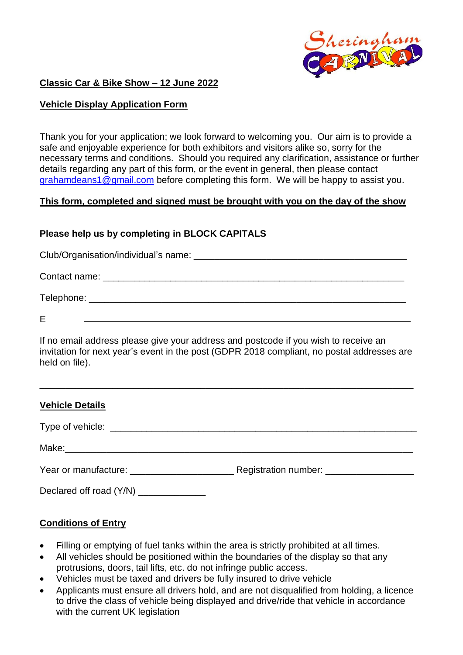

## **Classic Car & Bike Show – 12 June 2022**

## **Vehicle Display Application Form**

Thank you for your application; we look forward to welcoming you. Our aim is to provide a safe and enjoyable experience for both exhibitors and visitors alike so, sorry for the necessary terms and conditions. Should you required any clarification, assistance or further details regarding any part of this form, or the event in general, then please contact [grahamdeans1@gmail.com](mailto:grahamdeans1@gmail.com) before completing this form. We will be happy to assist you.

#### **This form, completed and signed must be brought with you on the day of the show**

# **Please help us by completing in BLOCK CAPITALS**

Club/Organisation/individual's name: \_\_\_\_\_\_\_\_\_\_\_\_\_\_\_\_\_\_\_\_\_\_\_\_\_\_\_\_\_\_\_\_\_\_\_\_\_\_\_\_\_ Contact name:  $\Box$ Telephone: \_\_\_\_\_\_\_\_\_\_\_\_\_\_\_\_\_\_\_\_\_\_\_\_\_\_\_\_\_\_\_\_\_\_\_\_\_\_\_\_\_\_\_\_\_\_\_\_\_\_\_\_\_\_\_\_\_\_\_\_\_ E

If no email address please give your address and postcode if you wish to receive an

invitation for next year's event in the post (GDPR 2018 compliant, no postal addresses are held on file).

\_\_\_\_\_\_\_\_\_\_\_\_\_\_\_\_\_\_\_\_\_\_\_\_\_\_\_\_\_\_\_\_\_\_\_\_\_\_\_\_\_\_\_\_\_\_\_\_\_\_\_\_\_\_\_\_\_\_\_\_\_\_\_\_\_\_\_\_\_\_\_\_

| <b>Vehicle Details</b>                   |  |
|------------------------------------------|--|
|                                          |  |
|                                          |  |
| Year or manufacture: ___________________ |  |

Declared off road  $(Y/N)$ 

# **Conditions of Entry**

- Filling or emptying of fuel tanks within the area is strictly prohibited at all times.
- All vehicles should be positioned within the boundaries of the display so that any protrusions, doors, tail lifts, etc. do not infringe public access.
- Vehicles must be taxed and drivers be fully insured to drive vehicle
- Applicants must ensure all drivers hold, and are not disqualified from holding, a licence to drive the class of vehicle being displayed and drive/ride that vehicle in accordance with the current UK legislation